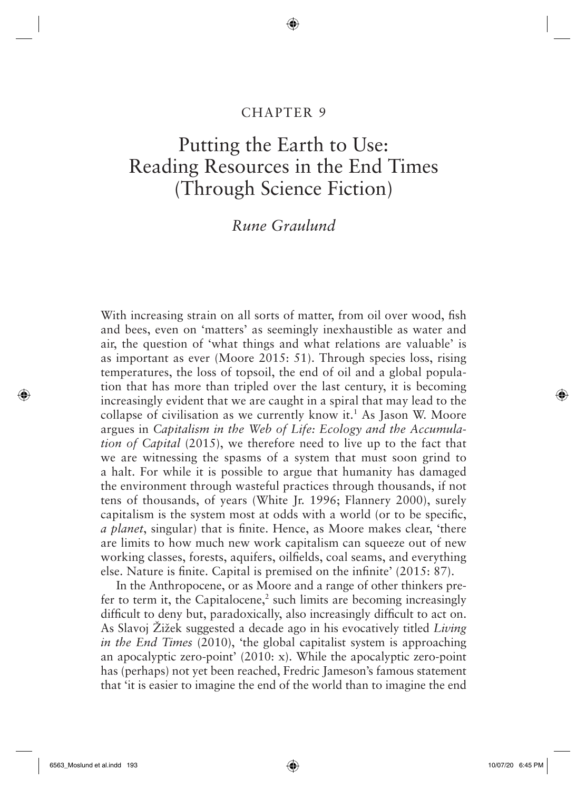# CHAPTER 9

◈

# Putting the Earth to Use: Reading Resources in the End Times (Through Science Fiction)

# *Rune Graulund*

With increasing strain on all sorts of matter, from oil over wood, fish and bees, even on 'matters' as seemingly inexhaustible as water and air, the question of 'what things and what relations are valuable' is as important as ever (Moore 2015: 51). Through species loss, rising temperatures, the loss of topsoil, the end of oil and a global population that has more than tripled over the last century, it is becoming increasingly evident that we are caught in a spiral that may lead to the collapse of civilisation as we currently know it.<sup>1</sup> As Jason W. Moore argues in *Capitalism in the Web of Life: Ecology and the Accumulation of Capital* (2015), we therefore need to live up to the fact that we are witnessing the spasms of a system that must soon grind to a halt. For while it is possible to argue that humanity has damaged the environment through wasteful practices through thousands, if not tens of thousands, of years (White Jr. 1996; Flannery 2000), surely capitalism is the system most at odds with a world (or to be specific, *a planet*, singular) that is finite. Hence, as Moore makes clear, 'there are limits to how much new work capitalism can squeeze out of new working classes, forests, aquifers, oilfields, coal seams, and everything else. Nature is finite. Capital is premised on the infinite'  $(2015: 87)$ .

In the Anthropocene, or as Moore and a range of other thinkers prefer to term it, the Capitalocene, $2$  such limits are becoming increasingly difficult to deny but, paradoxically, also increasingly difficult to act on. As Slavoj Žižek suggested a decade ago in his evocatively titled *Living in the End Times* (2010), 'the global capitalist system is approaching an apocalyptic zero-point'  $(2010: x)$ . While the apocalyptic zero-point has (perhaps) not yet been reached, Fredric Jameson's famous statement that 'it is easier to imagine the end of the world than to imagine the end

 $\bigcirc$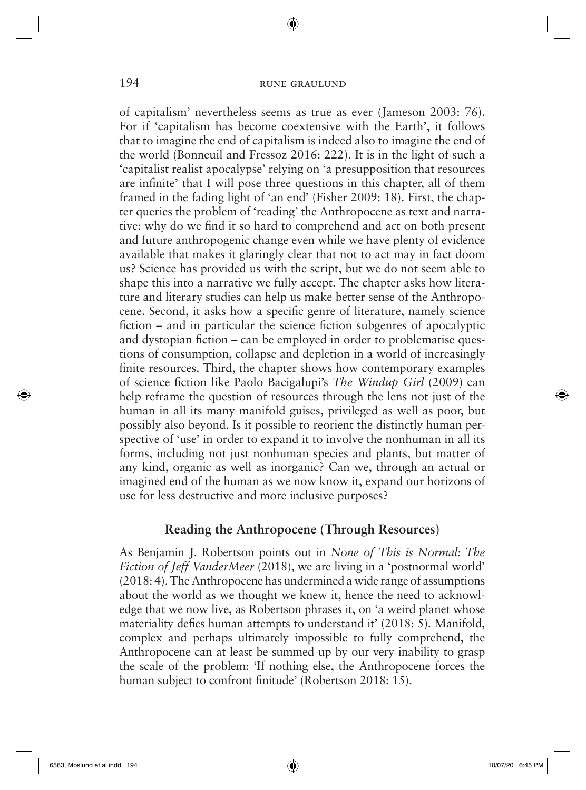◈

of capitalism' nevertheless seems as true as ever (Jameson 2003: 76). For if 'capitalism has become coextensive with the Earth', it follows that to imagine the end of capitalism is indeed also to imagine the end of the world (Bonneuil and Fressoz 2016: 222). It is in the light of such a 'capitalist realist apocalypse' relying on 'a presupposition that resources are infinite' that I will pose three questions in this chapter, all of them framed in the fading light of 'an end' (Fisher 2009: 18). First, the chapter queries the problem of 'reading' the Anthropocene as text and narrative: why do we find it so hard to comprehend and act on both present and future anthropogenic change even while we have plenty of evidence available that makes it glaringly clear that not to act may in fact doom us? Science has provided us with the script, but we do not seem able to shape this into a narrative we fully accept. The chapter asks how literature and literary studies can help us make better sense of the Anthropocene. Second, it asks how a specific genre of literature, namely science fiction – and in particular the science fiction subgenres of apocalyptic and dystopian fiction – can be employed in order to problematise questions of consumption, collapse and depletion in a world of increasingly finite resources. Third, the chapter shows how contemporary examples of science fiction like Paolo Bacigalupi's *The Windup Girl* (2009) can help reframe the question of resources through the lens not just of the human in all its many manifold guises, privileged as well as poor, but possibly also beyond. Is it possible to reorient the distinctly human perspective of 'use' in order to expand it to involve the nonhuman in all its forms, including not just nonhuman species and plants, but matter of any kind, organic as well as inorganic? Can we, through an actual or imagined end of the human as we now know it, expand our horizons of use for less destructive and more inclusive purposes?

#### **Reading the Anthropocene (Through Resources)**

As Benjamin J. Robertson points out in *None of This is Normal: The Fiction of Jeff VanderMeer* (2018), we are living in a 'postnormal world' (2018: 4). The Anthropocene has undermined a wide range of assumptions about the world as we thought we knew it, hence the need to acknowledge that we now live, as Robertson phrases it, on 'a weird planet whose materiality defies human attempts to understand it'  $(2018: 5)$ . Manifold, complex and perhaps ultimately impossible to fully comprehend, the Anthropocene can at least be summed up by our very inability to grasp the scale of the problem: 'If nothing else, the Anthropocene forces the human subject to confront finitude' (Robertson 2018: 15).

 $\Leftrightarrow$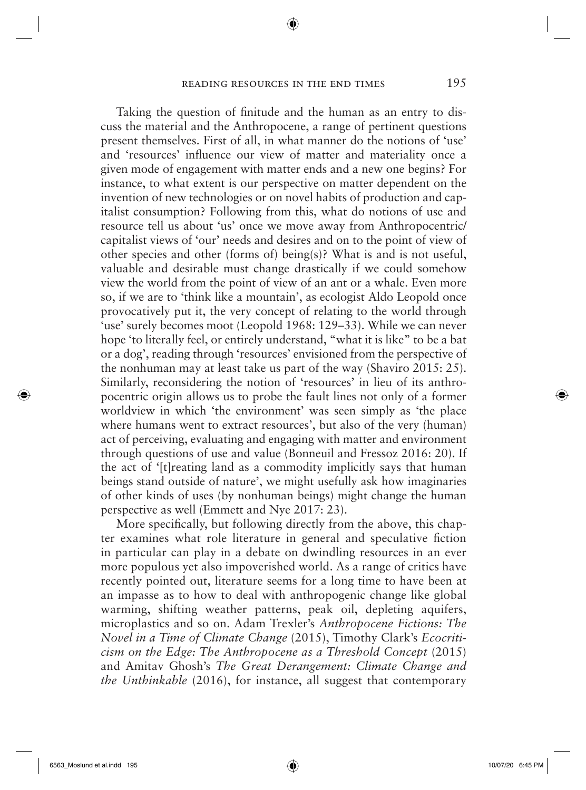#### reading resources in the end times 195

◈

Taking the question of finitude and the human as an entry to discuss the material and the Anthropocene, a range of pertinent questions present themselves. First of all, in what manner do the notions of 'use' and 'resources' influence our view of matter and materiality once a given mode of engagement with matter ends and a new one begins? For instance, to what extent is our perspective on matter dependent on the invention of new technologies or on novel habits of production and capitalist consumption? Following from this, what do notions of use and resource tell us about 'us' once we move away from Anthropocentric/ capitalist views of 'our' needs and desires and on to the point of view of other species and other (forms of) being(s)? What is and is not useful, valuable and desirable must change drastically if we could somehow view the world from the point of view of an ant or a whale. Even more so, if we are to 'think like a mountain', as ecologist Aldo Leopold once provocatively put it, the very concept of relating to the world through 'use' surely becomes moot (Leopold 1968: 129–33). While we can never hope 'to literally feel, or entirely understand, "what it is like" to be a bat or a dog', reading through 'resources' envisioned from the perspective of the nonhuman may at least take us part of the way (Shaviro 2015: 25). Similarly, reconsidering the notion of 'resources' in lieu of its anthropocentric origin allows us to probe the fault lines not only of a former worldview in which 'the environment' was seen simply as 'the place where humans went to extract resources', but also of the very (human) act of perceiving, evaluating and engaging with matter and environment through questions of use and value (Bonneuil and Fressoz 2016: 20). If the act of '[t]reating land as a commodity implicitly says that human beings stand outside of nature', we might usefully ask how imaginaries of other kinds of uses (by nonhuman beings) might change the human perspective as well (Emmett and Nye 2017: 23).

More specifically, but following directly from the above, this chapter examines what role literature in general and speculative fiction in particular can play in a debate on dwindling resources in an ever more populous yet also impoverished world. As a range of critics have recently pointed out, literature seems for a long time to have been at an impasse as to how to deal with anthropogenic change like global warming, shifting weather patterns, peak oil, depleting aquifers, microplastics and so on. Adam Trexler's *Anthropocene Fictions: The Novel in a Time of Climate Change* (2015), Timothy Clark's *Ecocriticism on the Edge: The Anthropocene as a Threshold Concept* (2015) and Amitav Ghosh's *The Great Derangement: Climate Change and the Unthinkable* (2016), for instance, all suggest that contemporary

 $\Leftrightarrow$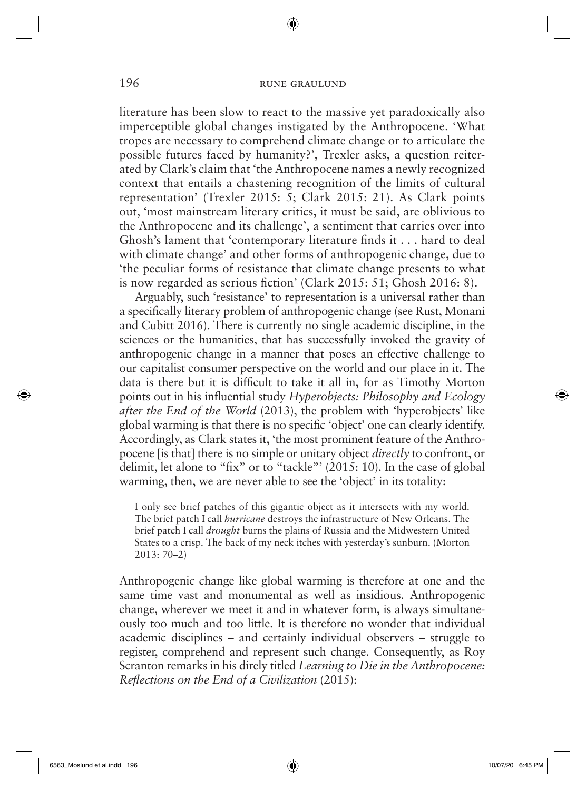◈

literature has been slow to react to the massive yet paradoxically also imperceptible global changes instigated by the Anthropocene. 'What tropes are necessary to comprehend climate change or to articulate the possible futures faced by humanity?', Trexler asks, a question reiterated by Clark's claim that 'the Anthropocene names a newly recognized context that entails a chastening recognition of the limits of cultural representation' (Trexler 2015: 5; Clark 2015: 21). As Clark points out, 'most mainstream literary critics, it must be said, are oblivious to the Anthropocene and its challenge', a sentiment that carries over into Ghosh's lament that 'contemporary literature finds it  $\dots$  hard to deal with climate change' and other forms of anthropogenic change, due to 'the peculiar forms of resistance that climate change presents to what is now regarded as serious fiction' (Clark 2015:  $51$ ; Ghosh 2016: 8).

Arguably, such 'resistance' to representation is a universal rather than a specifically literary problem of anthropogenic change (see Rust, Monani and Cubitt 2016). There is currently no single academic discipline, in the sciences or the humanities, that has successfully invoked the gravity of anthropogenic change in a manner that poses an effective challenge to our capitalist consumer perspective on the world and our place in it. The data is there but it is difficult to take it all in, for as Timothy Morton points out in his influential study *Hyperobjects: Philosophy and Ecology after the End of the World* (2013), the problem with 'hyperobjects' like global warming is that there is no specific 'object' one can clearly identify. Accordingly, as Clark states it, 'the most prominent feature of the Anthropocene [is that] there is no simple or unitary object *directly* to confront, or delimit, let alone to "fix" or to "tackle"' (2015: 10). In the case of global warming, then, we are never able to see the 'object' in its totality:

I only see brief patches of this gigantic object as it intersects with my world. The brief patch I call *hurricane* destroys the infrastructure of New Orleans. The brief patch I call *drought* burns the plains of Russia and the Midwestern United States to a crisp. The back of my neck itches with yesterday's sunburn. (Morton 2013: 70–2)

Anthropogenic change like global warming is therefore at one and the same time vast and monumental as well as insidious. Anthropogenic change, wherever we meet it and in whatever form, is always simultaneously too much and too little. It is therefore no wonder that individual academic disciplines – and certainly individual observers – struggle to register, comprehend and represent such change. Consequently, as Roy Scranton remarks in his direly titled *Learning to Die in the Anthropocene: Refl ections on the End of a Civilization* (2015) :

 $\Leftrightarrow$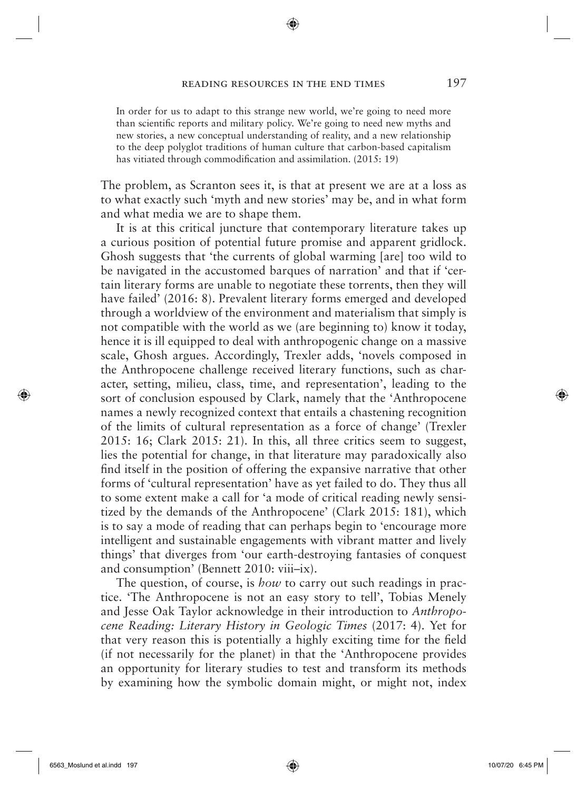In order for us to adapt to this strange new world, we're going to need more than scientific reports and military policy. We're going to need new myths and new stories, a new conceptual understanding of reality, and a new relationship to the deep polyglot traditions of human culture that carbon-based capitalism has vitiated through commodification and assimilation. (2015: 19)

The problem, as Scranton sees it, is that at present we are at a loss as to what exactly such 'myth and new stories' may be, and in what form and what media we are to shape them.

It is at this critical juncture that contemporary literature takes up a curious position of potential future promise and apparent gridlock. Ghosh suggests that 'the currents of global warming [are] too wild to be navigated in the accustomed barques of narration' and that if 'certain literary forms are unable to negotiate these torrents, then they will have failed' (2016: 8). Prevalent literary forms emerged and developed through a worldview of the environment and materialism that simply is not compatible with the world as we (are beginning to) know it today, hence it is ill equipped to deal with anthropogenic change on a massive scale, Ghosh argues. Accordingly, Trexler adds, 'novels composed in the Anthropocene challenge received literary functions, such as character, setting, milieu, class, time, and representation', leading to the sort of conclusion espoused by Clark, namely that the 'Anthropocene names a newly recognized context that entails a chastening recognition of the limits of cultural representation as a force of change' (Trexler 2015: 16; Clark 2015: 21). In this, all three critics seem to suggest, lies the potential for change, in that literature may paradoxically also find itself in the position of offering the expansive narrative that other forms of 'cultural representation' have as yet failed to do. They thus all to some extent make a call for 'a mode of critical reading newly sensitized by the demands of the Anthropocene' (Clark 2015: 181), which is to say a mode of reading that can perhaps begin to 'encourage more intelligent and sustainable engagements with vibrant matter and lively things' that diverges from 'our earth-destroying fantasies of conquest and consumption' (Bennett 2010: viii–ix).

The question, of course, is *how* to carry out such readings in practice. 'The Anthropocene is not an easy story to tell', Tobias Menely and Jesse Oak Taylor acknowledge in their introduction to *Anthropocene Reading: Literary History in Geologic Times* (2017: 4). Yet for that very reason this is potentially a highly exciting time for the field (if not necessarily for the planet) in that the 'Anthropocene provides an opportunity for literary studies to test and transform its methods by examining how the symbolic domain might, or might not, index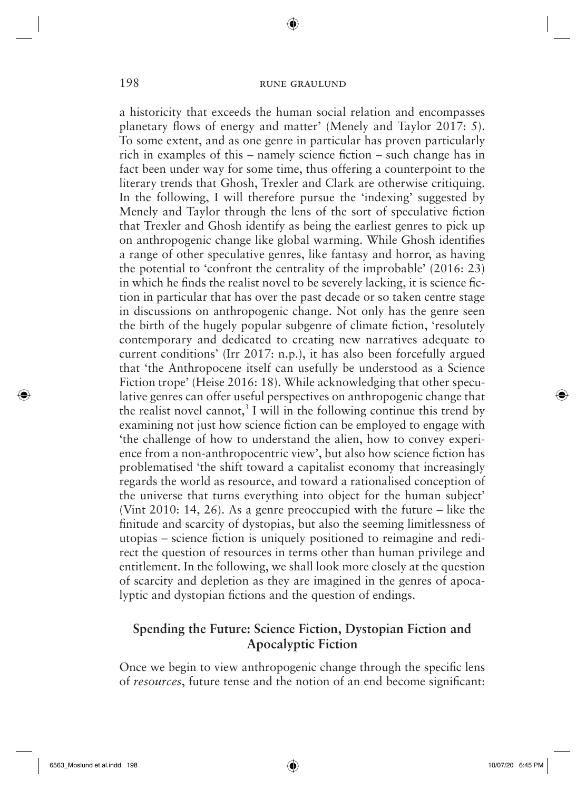◈

a historicity that exceeds the human social relation and encompasses planetary flows of energy and matter' (Menely and Taylor 2017: 5). To some extent, and as one genre in particular has proven particularly rich in examples of this – namely science fiction – such change has in fact been under way for some time, thus offering a counterpoint to the literary trends that Ghosh, Trexler and Clark are otherwise critiquing. In the following, I will therefore pursue the 'indexing' suggested by Menely and Taylor through the lens of the sort of speculative fiction that Trexler and Ghosh identify as being the earliest genres to pick up on anthropogenic change like global warming. While Ghosh identifies a range of other speculative genres, like fantasy and horror, as having the potential to 'confront the centrality of the improbable' (2016: 23) in which he finds the realist novel to be severely lacking, it is science fiction in particular that has over the past decade or so taken centre stage in discussions on anthropogenic change. Not only has the genre seen the birth of the hugely popular subgenre of climate fiction, 'resolutely contemporary and dedicated to creating new narratives adequate to current conditions' (Irr 2017: n.p.), it has also been forcefully argued that 'the Anthropocene itself can usefully be understood as a Science Fiction trope' (Heise 2016: 18). While acknowledging that other speculative genres can offer useful perspectives on anthropogenic change that the realist novel cannot,<sup>3</sup> I will in the following continue this trend by examining not just how science fiction can be employed to engage with 'the challenge of how to understand the alien, how to convey experience from a non-anthropocentric view', but also how science fiction has problematised 'the shift toward a capitalist economy that increasingly regards the world as resource, and toward a rationalised conception of the universe that turns everything into object for the human subject' (Vint 2010: 14, 26). As a genre preoccupied with the future – like the finitude and scarcity of dystopias, but also the seeming limitlessness of utopias – science fiction is uniquely positioned to reimagine and redirect the question of resources in terms other than human privilege and entitlement. In the following, we shall look more closely at the question of scarcity and depletion as they are imagined in the genres of apocalyptic and dystopian fictions and the question of endings.

# **Spending the Future: Science Fiction, Dystopian Fiction and Apocalyptic Fiction**

Once we begin to view anthropogenic change through the specific lens of *resources*, future tense and the notion of an end become significant:

 $\Leftrightarrow$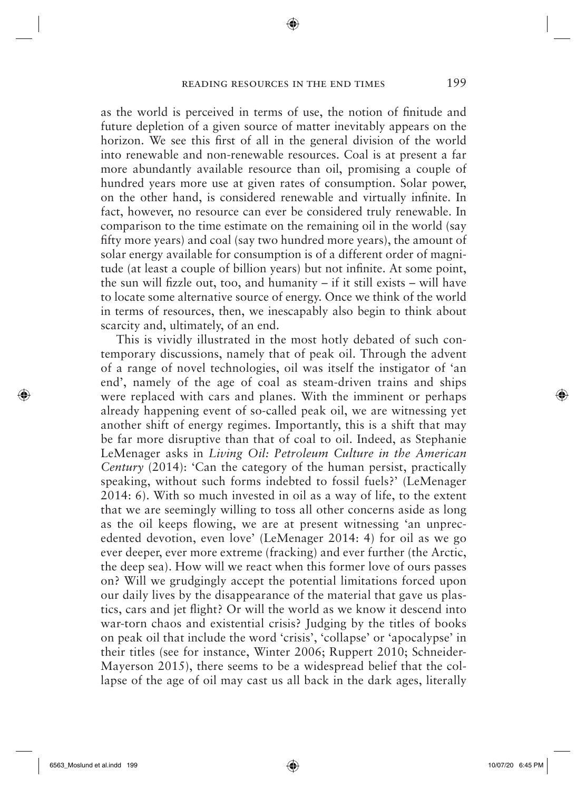as the world is perceived in terms of use, the notion of finitude and future depletion of a given source of matter inevitably appears on the horizon. We see this first of all in the general division of the world into renewable and non-renewable resources. Coal is at present a far more abundantly available resource than oil, promising a couple of hundred years more use at given rates of consumption. Solar power, on the other hand, is considered renewable and virtually infinite. In fact, however, no resource can ever be considered truly renewable. In comparison to the time estimate on the remaining oil in the world (say fifty more years) and coal (say two hundred more years), the amount of solar energy available for consumption is of a different order of magnitude (at least a couple of billion years) but not infinite. At some point, the sun will fizzle out, too, and humanity – if it still exists – will have to locate some alternative source of energy. Once we think of the world in terms of resources, then, we inescapably also begin to think about scarcity and, ultimately, of an end.

This is vividly illustrated in the most hotly debated of such contemporary discussions, namely that of peak oil. Through the advent of a range of novel technologies, oil was itself the instigator of 'an end', namely of the age of coal as steam-driven trains and ships were replaced with cars and planes. With the imminent or perhaps already happening event of so-called peak oil, we are witnessing yet another shift of energy regimes. Importantly, this is a shift that may be far more disruptive than that of coal to oil. Indeed, as Stephanie LeMenager asks in *Living Oil: Petroleum Culture in the American Century* (2014): 'Can the category of the human persist, practically speaking, without such forms indebted to fossil fuels?' (LeMenager 2014: 6). With so much invested in oil as a way of life, to the extent that we are seemingly willing to toss all other concerns aside as long as the oil keeps flowing, we are at present witnessing 'an unprecedented devotion, even love' (LeMenager 2014: 4) for oil as we go ever deeper, ever more extreme (fracking) and ever further (the Arctic, the deep sea). How will we react when this former love of ours passes on? Will we grudgingly accept the potential limitations forced upon our daily lives by the disappearance of the material that gave us plastics, cars and jet flight? Or will the world as we know it descend into war-torn chaos and existential crisis? Judging by the titles of books on peak oil that include the word 'crisis', 'collapse' or 'apocalypse' in their titles (see for instance, Winter 2006; Ruppert 2010; Schneider-Mayerson 2015), there seems to be a widespread belief that the collapse of the age of oil may cast us all back in the dark ages, literally

 $\Leftrightarrow$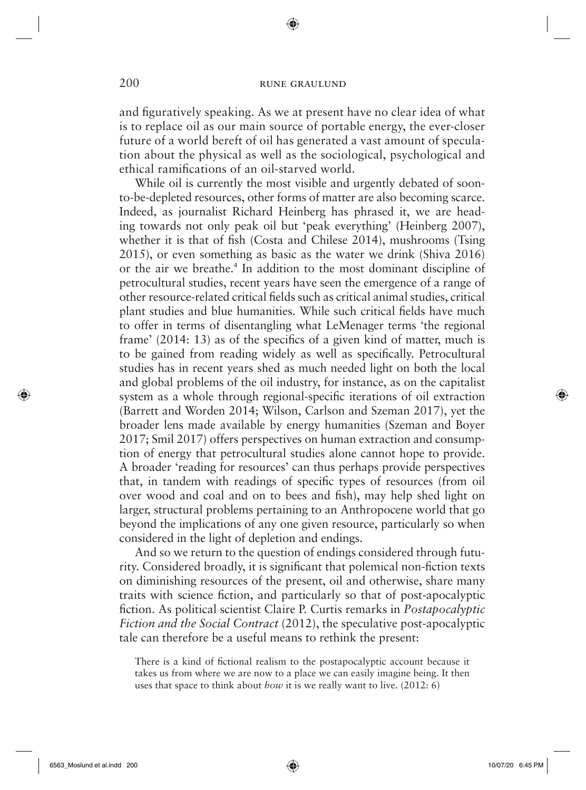◈

and figuratively speaking. As we at present have no clear idea of what is to replace oil as our main source of portable energy, the ever-closer future of a world bereft of oil has generated a vast amount of speculation about the physical as well as the sociological, psychological and ethical ramifications of an oil-starved world.

While oil is currently the most visible and urgently debated of soonto-be-depleted resources, other forms of matter are also becoming scarce. Indeed, as journalist Richard Heinberg has phrased it, we are heading towards not only peak oil but 'peak everything' (Heinberg 2007), whether it is that of fish (Costa and Chilese 2014), mushrooms (Tsing 2015), or even something as basic as the water we drink (Shiva 2016) or the air we breathe.<sup>4</sup> In addition to the most dominant discipline of petrocultural studies, recent years have seen the emergence of a range of other resource-related critical fields such as critical animal studies, critical plant studies and blue humanities. While such critical fields have much to offer in terms of disentangling what LeMenager terms 'the regional frame'  $(2014: 13)$  as of the specifics of a given kind of matter, much is to be gained from reading widely as well as specifically. Petrocultural studies has in recent years shed as much needed light on both the local and global problems of the oil industry, for instance, as on the capitalist system as a whole through regional-specific iterations of oil extraction (Barrett and Worden 2014; Wilson, Carlson and Szeman 2017), yet the broader lens made available by energy humanities (Szeman and Boyer 2017; Smil 2017) offers perspectives on human extraction and consumption of energy that petrocultural studies alone cannot hope to provide. A broader 'reading for resources' can thus perhaps provide perspectives that, in tandem with readings of specific types of resources (from oil over wood and coal and on to bees and fish), may help shed light on larger, structural problems pertaining to an Anthropocene world that go beyond the implications of any one given resource, particularly so when considered in the light of depletion and endings.

And so we return to the question of endings considered through futurity. Considered broadly, it is significant that polemical non-fiction texts on diminishing resources of the present, oil and otherwise, share many traits with science fiction, and particularly so that of post-apocalyptic fiction. As political scientist Claire P. Curtis remarks in *Postapocalyptic Fiction and the Social Contract* (2012), the speculative post-apocalyptic tale can therefore be a useful means to rethink the present:

There is a kind of fictional realism to the postapocalyptic account because it takes us from where we are now to a place we can easily imagine being. It then uses that space to think about *how* it is we really want to live. (2012: 6)

 $\Leftrightarrow$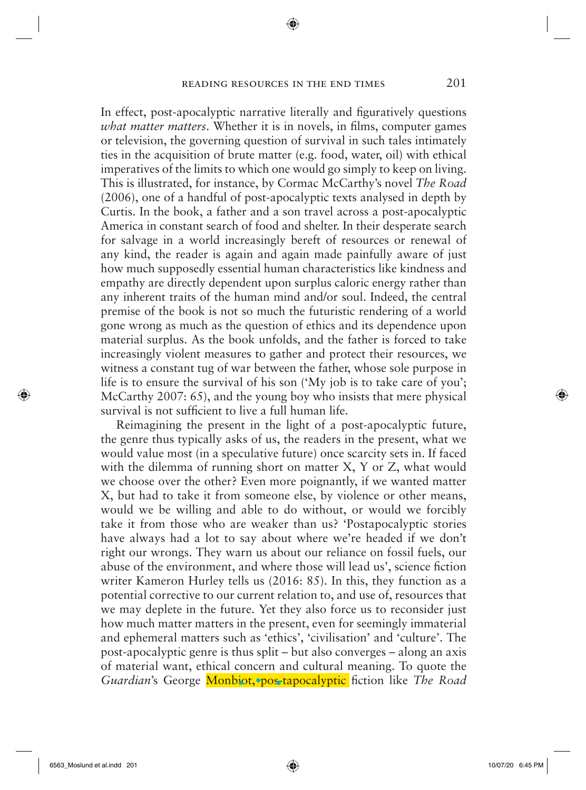In effect, post-apocalyptic narrative literally and figuratively questions *what matter matters*. Whether it is in novels, in films, computer games or television, the governing question of survival in such tales intimately ties in the acquisition of brute matter (e.g. food, water, oil) with ethical imperatives of the limits to which one would go simply to keep on living. This is illustrated, for instance, by Cormac McCarthy's novel *The Road*  (2006), one of a handful of post-apocalyptic texts analysed in depth by Curtis. In the book, a father and a son travel across a post-apocalyptic America in constant search of food and shelter. In their desperate search for salvage in a world increasingly bereft of resources or renewal of any kind, the reader is again and again made painfully aware of just how much supposedly essential human characteristics like kindness and empathy are directly dependent upon surplus caloric energy rather than any inherent traits of the human mind and/or soul. Indeed, the central premise of the book is not so much the futuristic rendering of a world gone wrong as much as the question of ethics and its dependence upon material surplus. As the book unfolds, and the father is forced to take increasingly violent measures to gather and protect their resources, we witness a constant tug of war between the father, whose sole purpose in life is to ensure the survival of his son ('My job is to take care of you'; McCarthy 2007: 65), and the young boy who insists that mere physical survival is not sufficient to live a full human life.

Reimagining the present in the light of a post-apocalyptic future, the genre thus typically asks of us, the readers in the present, what we would value most (in a speculative future) once scarcity sets in. If faced with the dilemma of running short on matter X, Y or Z, what would we choose over the other? Even more poignantly, if we wanted matter X, but had to take it from someone else, by violence or other means, would we be willing and able to do without, or would we forcibly take it from those who are weaker than us? 'Postapocalyptic stories have always had a lot to say about where we're headed if we don't right our wrongs. They warn us about our reliance on fossil fuels, our abuse of the environment, and where those will lead us', science fiction writer Kameron Hurley tells us (2016: 85). In this, they function as a potential corrective to our current relation to, and use of, resources that we may deplete in the future. Yet they also force us to reconsider just how much matter matters in the present, even for seemingly immaterial and ephemeral matters such as 'ethics', 'civilisation' and 'culture'. The post-apocalyptic genre is thus split – but also converges – along an axis of material want, ethical concern and cultural meaning. To quote the *Guardian's* George **Monbiot, pos-tapocalyptic** fiction like *The Road* 

 $\Leftrightarrow$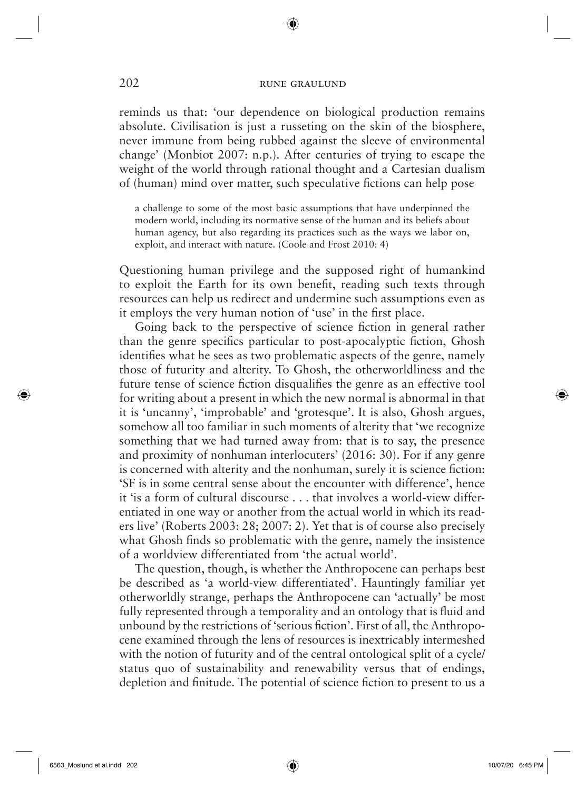◈

reminds us that: 'our dependence on biological production remains absolute. Civilisation is just a russeting on the skin of the biosphere, never immune from being rubbed against the sleeve of environmental change' (Monbiot 2007: n.p.). After centuries of trying to escape the weight of the world through rational thought and a Cartesian dualism of (human) mind over matter, such speculative fictions can help pose

a challenge to some of the most basic assumptions that have underpinned the modern world, including its normative sense of the human and its beliefs about human agency, but also regarding its practices such as the ways we labor on, exploit, and interact with nature. (Coole and Frost 2010: 4)

Questioning human privilege and the supposed right of humankind to exploit the Earth for its own benefit, reading such texts through resources can help us redirect and undermine such assumptions even as it employs the very human notion of 'use' in the first place.

Going back to the perspective of science fiction in general rather than the genre specifics particular to post-apocalyptic fiction, Ghosh identifies what he sees as two problematic aspects of the genre, namely those of futurity and alterity. To Ghosh, the otherworldliness and the future tense of science fiction disqualifies the genre as an effective tool for writing about a present in which the new normal is abnormal in that it is 'uncanny', 'improbable' and 'grotesque'. It is also, Ghosh argues, somehow all too familiar in such moments of alterity that 'we recognize something that we had turned away from: that is to say, the presence and proximity of nonhuman interlocuters' (2016: 30). For if any genre is concerned with alterity and the nonhuman, surely it is science fiction: 'SF is in some central sense about the encounter with difference', hence it 'is a form of cultural discourse . . . that involves a world-view differentiated in one way or another from the actual world in which its readers live' (Roberts 2003: 28; 2007: 2). Yet that is of course also precisely what Ghosh finds so problematic with the genre, namely the insistence of a worldview differentiated from 'the actual world'.

The question, though, is whether the Anthropocene can perhaps best be described as 'a world-view differentiated'. Hauntingly familiar yet otherworldly strange, perhaps the Anthropocene can 'actually' be most fully represented through a temporality and an ontology that is fluid and unbound by the restrictions of 'serious fiction'. First of all, the Anthropocene examined through the lens of resources is inextricably intermeshed with the notion of futurity and of the central ontological split of a cycle/ status quo of sustainability and renewability versus that of endings, depletion and finitude. The potential of science fiction to present to us a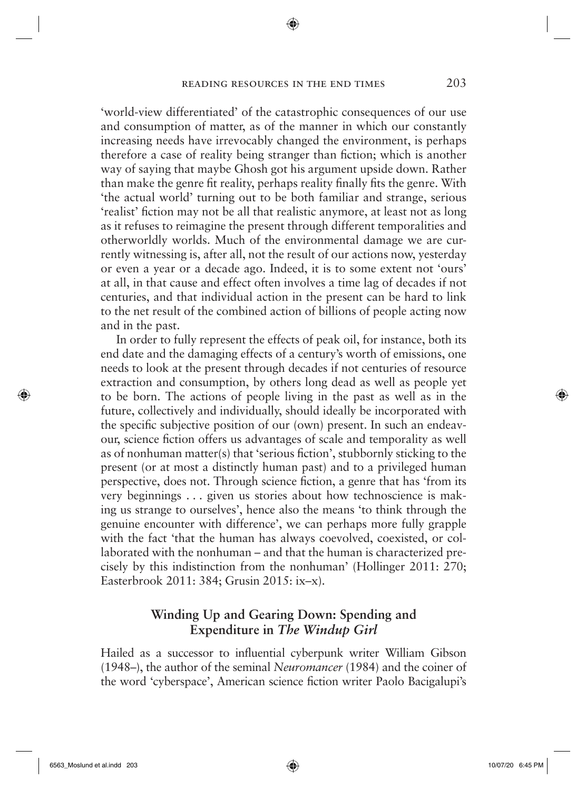'world-view differentiated' of the catastrophic consequences of our use and consumption of matter, as of the manner in which our constantly increasing needs have irrevocably changed the environment, is perhaps therefore a case of reality being stranger than fiction; which is another way of saying that maybe Ghosh got his argument upside down. Rather than make the genre fit reality, perhaps reality finally fits the genre. With 'the actual world' turning out to be both familiar and strange, serious 'realist' fiction may not be all that realistic anymore, at least not as long as it refuses to reimagine the present through different temporalities and otherworldly worlds. Much of the environmental damage we are currently witnessing is, after all, not the result of our actions now, yesterday or even a year or a decade ago. Indeed, it is to some extent not 'ours' at all, in that cause and effect often involves a time lag of decades if not centuries, and that individual action in the present can be hard to link to the net result of the combined action of billions of people acting now and in the past.

In order to fully represent the effects of peak oil, for instance, both its end date and the damaging effects of a century's worth of emissions, one needs to look at the present through decades if not centuries of resource extraction and consumption, by others long dead as well as people yet to be born. The actions of people living in the past as well as in the future, collectively and individually, should ideally be incorporated with the specific subjective position of our (own) present. In such an endeavour, science fiction offers us advantages of scale and temporality as well as of nonhuman matter(s) that 'serious fiction', stubbornly sticking to the present (or at most a distinctly human past) and to a privileged human perspective, does not. Through science fiction, a genre that has 'from its very beginnings . . . given us stories about how technoscience is making us strange to ourselves', hence also the means 'to think through the genuine encounter with difference', we can perhaps more fully grapple with the fact 'that the human has always coevolved, coexisted, or collaborated with the nonhuman – and that the human is characterized precisely by this indistinction from the nonhuman' (Hollinger 2011: 270; Easterbrook 2011: 384; Grusin 2015: ix–x).

# **Winding Up and Gearing Down: Spending and Expenditure in** *The Windup Girl*

Hailed as a successor to influential cyberpunk writer William Gibson (1948–), the author of the seminal *Neuromancer* (1984) and the coiner of the word 'cyberspace', American science fiction writer Paolo Bacigalupi's

 $\Leftrightarrow$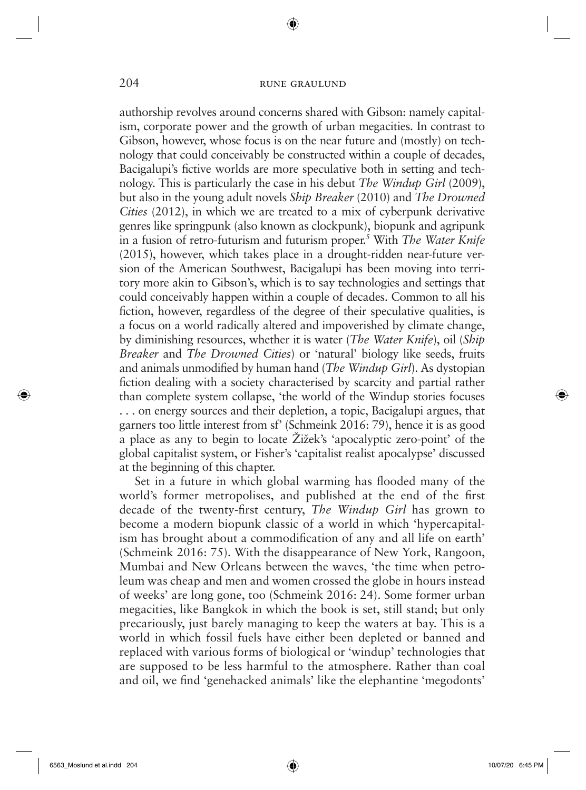◈

authorship revolves around concerns shared with Gibson: namely capitalism, corporate power and the growth of urban megacities. In contrast to Gibson, however, whose focus is on the near future and (mostly) on technology that could conceivably be constructed within a couple of decades, Bacigalupi's fictive worlds are more speculative both in setting and technology. This is particularly the case in his debut *The Windup Girl* (2009), but also in the young adult novels *Ship Breaker* (2010) and *The Drowned Cities* (2012), in which we are treated to a mix of cyberpunk derivative genres like springpunk (also known as clockpunk), biopunk and agripunk in a fusion of retro-futurism and futurism proper.5 With *The Water Knife*  (2015), however, which takes place in a drought-ridden near-future version of the American Southwest, Bacigalupi has been moving into territory more akin to Gibson's, which is to say technologies and settings that could conceivably happen within a couple of decades. Common to all his fiction, however, regardless of the degree of their speculative qualities, is a focus on a world radically altered and impoverished by climate change, by diminishing resources, whether it is water (*The Water Knife*), oil (*Ship Breaker* and *The Drowned Cities*) or 'natural' biology like seeds, fruits and animals unmodified by human hand (*The Windup Girl*). As dystopian fiction dealing with a society characterised by scarcity and partial rather than complete system collapse, 'the world of the Windup stories focuses . . . on energy sources and their depletion, a topic, Bacigalupi argues, that garners too little interest from sf' (Schmeink 2016: 79), hence it is as good a place as any to begin to locate Žižek's 'apocalyptic zero-point' of the global capitalist system, or Fisher's 'capitalist realist apocalypse' discussed at the beginning of this chapter.

Set in a future in which global warming has flooded many of the world's former metropolises, and published at the end of the first decade of the twenty-first century, *The Windup Girl* has grown to become a modern biopunk classic of a world in which 'hypercapitalism has brought about a commodification of any and all life on earth' (Schmeink 2016: 75). With the disappearance of New York, Rangoon, Mumbai and New Orleans between the waves, 'the time when petroleum was cheap and men and women crossed the globe in hours instead of weeks' are long gone, too (Schmeink 2016: 24). Some former urban megacities, like Bangkok in which the book is set, still stand; but only precariously, just barely managing to keep the waters at bay. This is a world in which fossil fuels have either been depleted or banned and replaced with various forms of biological or 'windup' technologies that are supposed to be less harmful to the atmosphere. Rather than coal and oil, we find 'genehacked animals' like the elephantine 'megodonts'

 $\Leftrightarrow$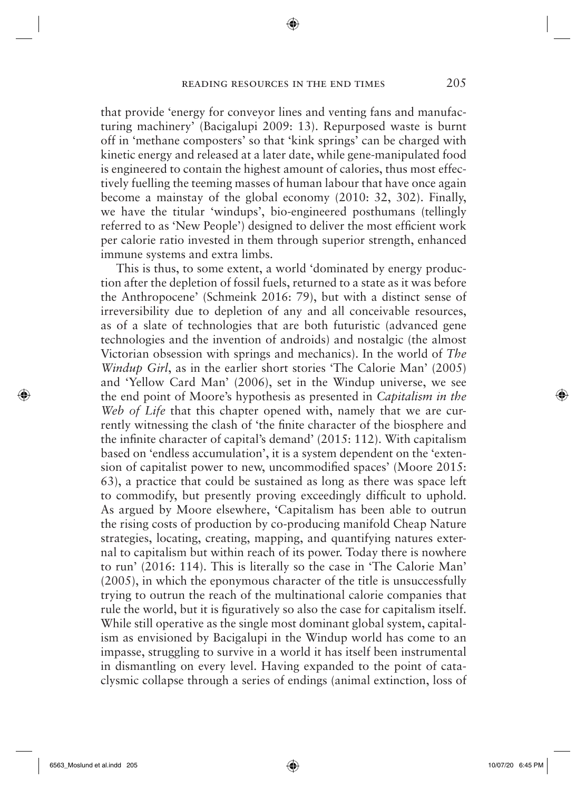that provide 'energy for conveyor lines and venting fans and manufacturing machinery' (Bacigalupi 2009: 13). Repurposed waste is burnt off in 'methane composters' so that 'kink springs' can be charged with kinetic energy and released at a later date, while gene-manipulated food is engineered to contain the highest amount of calories, thus most effectively fuelling the teeming masses of human labour that have once again become a mainstay of the global economy (2010: 32, 302). Finally, we have the titular 'windups', bio-engineered posthumans (tellingly referred to as 'New People') designed to deliver the most efficient work per calorie ratio invested in them through superior strength, enhanced immune systems and extra limbs.

This is thus, to some extent, a world 'dominated by energy production after the depletion of fossil fuels, returned to a state as it was before the Anthropocene' (Schmeink 2016: 79), but with a distinct sense of irreversibility due to depletion of any and all conceivable resources, as of a slate of technologies that are both futuristic (advanced gene technologies and the invention of androids) and nostalgic (the almost Victorian obsession with springs and mechanics). In the world of *The Windup Girl*, as in the earlier short stories 'The Calorie Man' (2005) and 'Yellow Card Man' (2006), set in the Windup universe, we see the end point of Moore's hypothesis as presented in *Capitalism in the Web of Life* that this chapter opened with, namely that we are currently witnessing the clash of 'the finite character of the biosphere and the infinite character of capital's demand'  $(2015: 112)$ . With capitalism based on 'endless accumulation', it is a system dependent on the 'extension of capitalist power to new, uncommodified spaces' (Moore 2015: 63), a practice that could be sustained as long as there was space left to commodify, but presently proving exceedingly difficult to uphold. As argued by Moore elsewhere, 'Capitalism has been able to outrun the rising costs of production by co-producing manifold Cheap Nature strategies, locating, creating, mapping, and quantifying natures external to capitalism but within reach of its power. Today there is nowhere to run' (2016: 114). This is literally so the case in 'The Calorie Man' (2005), in which the eponymous character of the title is unsuccessfully trying to outrun the reach of the multinational calorie companies that rule the world, but it is figuratively so also the case for capitalism itself. While still operative as the single most dominant global system, capitalism as envisioned by Bacigalupi in the Windup world has come to an impasse, struggling to survive in a world it has itself been instrumental in dismantling on every level. Having expanded to the point of cataclysmic collapse through a series of endings (animal extinction, loss of

 $\bigcirc$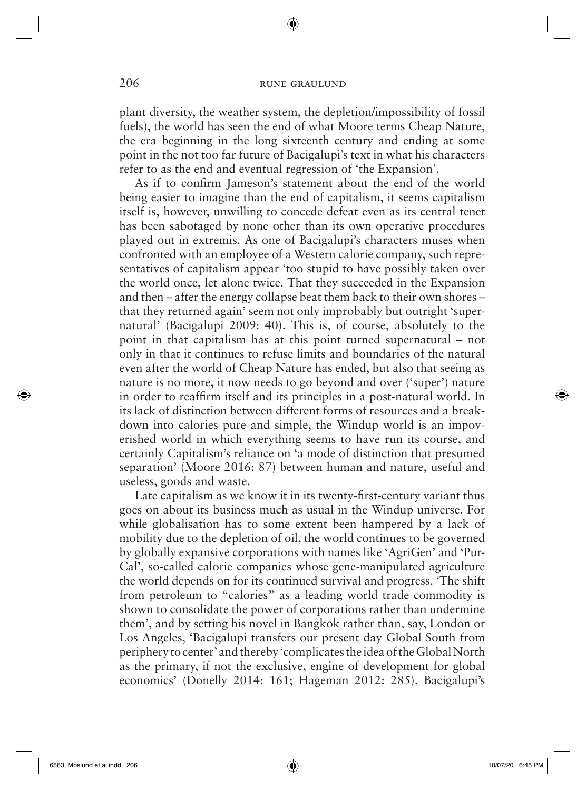◈

plant diversity, the weather system, the depletion/impossibility of fossil fuels), the world has seen the end of what Moore terms Cheap Nature, the era beginning in the long sixteenth century and ending at some point in the not too far future of Bacigalupi's text in what his characters refer to as the end and eventual regression of 'the Expansion'.

As if to confirm Jameson's statement about the end of the world being easier to imagine than the end of capitalism, it seems capitalism itself is, however, unwilling to concede defeat even as its central tenet has been sabotaged by none other than its own operative procedures played out in extremis. As one of Bacigalupi's characters muses when confronted with an employee of a Western calorie company, such representatives of capitalism appear 'too stupid to have possibly taken over the world once, let alone twice. That they succeeded in the Expansion and then – after the energy collapse beat them back to their own shores – that they returned again' seem not only improbably but outright 'supernatural' (Bacigalupi 2009: 40). This is, of course, absolutely to the point in that capitalism has at this point turned supernatural – not only in that it continues to refuse limits and boundaries of the natural even after the world of Cheap Nature has ended, but also that seeing as nature is no more, it now needs to go beyond and over ('super') nature in order to reaffirm itself and its principles in a post-natural world. In its lack of distinction between different forms of resources and a breakdown into calories pure and simple, the Windup world is an impoverished world in which everything seems to have run its course, and certainly Capitalism's reliance on 'a mode of distinction that presumed separation' (Moore 2016: 87) between human and nature, useful and useless, goods and waste.

Late capitalism as we know it in its twenty-first-century variant thus goes on about its business much as usual in the Windup universe. For while globalisation has to some extent been hampered by a lack of mobility due to the depletion of oil, the world continues to be governed by globally expansive corporations with names like 'AgriGen' and 'Pur-Cal', so-called calorie companies whose gene-manipulated agriculture the world depends on for its continued survival and progress. 'The shift from petroleum to "calories" as a leading world trade commodity is shown to consolidate the power of corporations rather than undermine them', and by setting his novel in Bangkok rather than, say, London or Los Angeles, 'Bacigalupi transfers our present day Global South from periphery to center' and thereby 'complicates the idea of the Global North as the primary, if not the exclusive, engine of development for global economics' (Donelly 2014: 161; Hageman 2012: 285). Bacigalupi's

 $\Leftrightarrow$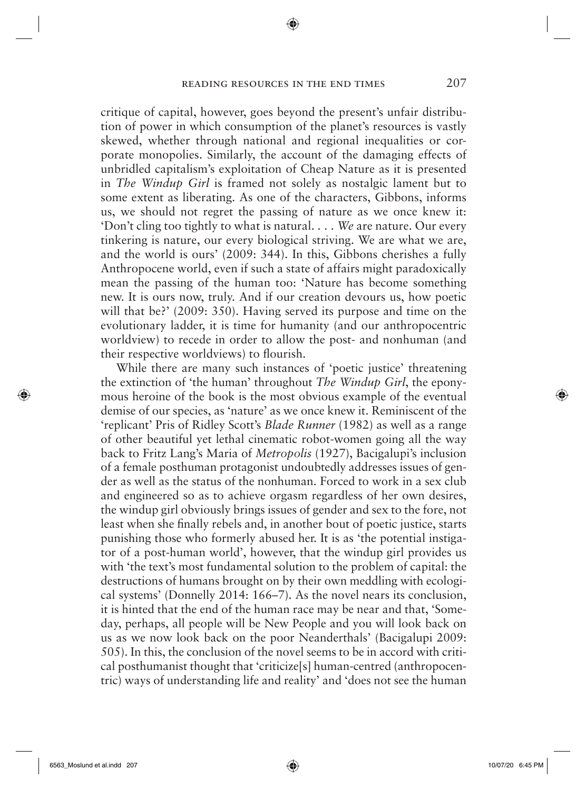critique of capital, however, goes beyond the present's unfair distribution of power in which consumption of the planet's resources is vastly skewed, whether through national and regional inequalities or corporate monopolies. Similarly, the account of the damaging effects of unbridled capitalism's exploitation of Cheap Nature as it is presented in *The Windup Girl* is framed not solely as nostalgic lament but to some extent as liberating. As one of the characters, Gibbons, informs us, we should not regret the passing of nature as we once knew it: 'Don't cling too tightly to what is natural. . . . *We* are nature. Our every tinkering is nature, our every biological striving. We are what we are, and the world is ours' (2009: 344). In this, Gibbons cherishes a fully Anthropocene world, even if such a state of affairs might paradoxically mean the passing of the human too: 'Nature has become something new. It is ours now, truly. And if our creation devours us, how poetic will that be?' (2009: 350). Having served its purpose and time on the evolutionary ladder, it is time for humanity (and our anthropocentric worldview) to recede in order to allow the post- and nonhuman (and their respective worldviews) to flourish.

While there are many such instances of 'poetic justice' threatening the extinction of 'the human' throughout *The Windup Girl*, the eponymous heroine of the book is the most obvious example of the eventual demise of our species, as 'nature' as we once knew it. Reminiscent of the 'replicant' Pris of Ridley Scott's *Blade Runner* (1982) as well as a range of other beautiful yet lethal cinematic robot-women going all the way back to Fritz Lang's Maria of *Metropolis* (1927), Bacigalupi's inclusion of a female posthuman protagonist undoubtedly addresses issues of gender as well as the status of the nonhuman. Forced to work in a sex club and engineered so as to achieve orgasm regardless of her own desires, the windup girl obviously brings issues of gender and sex to the fore, not least when she finally rebels and, in another bout of poetic justice, starts punishing those who formerly abused her. It is as 'the potential instigator of a post-human world', however, that the windup girl provides us with 'the text's most fundamental solution to the problem of capital: the destructions of humans brought on by their own meddling with ecological systems' (Donnelly 2014: 166–7). As the novel nears its conclusion, it is hinted that the end of the human race may be near and that, 'Someday, perhaps, all people will be New People and you will look back on us as we now look back on the poor Neanderthals' (Bacigalupi 2009: 505). In this, the conclusion of the novel seems to be in accord with critical posthumanist thought that 'criticize[s] human-centred (anthropocentric) ways of understanding life and reality' and 'does not see the human

 $\Leftrightarrow$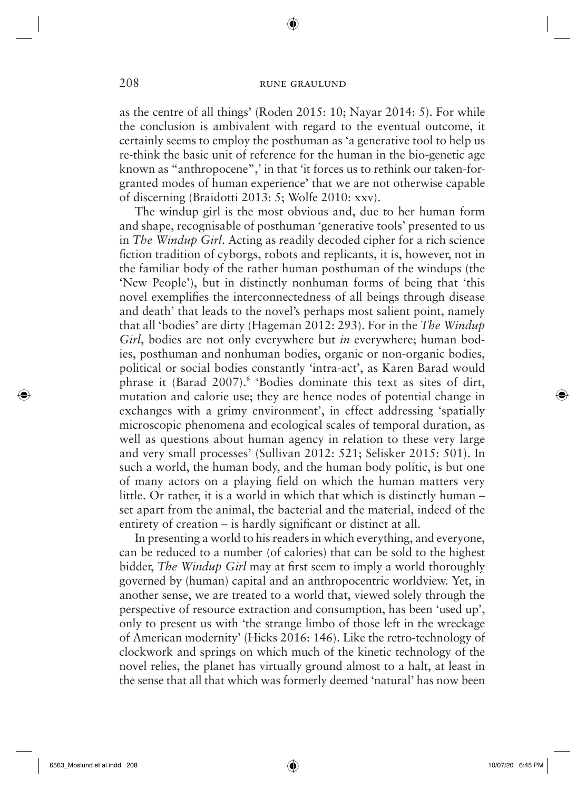◈

as the centre of all things' (Roden 2015: 10; Nayar 2014: 5). For while the conclusion is ambivalent with regard to the eventual outcome, it certainly seems to employ the posthuman as 'a generative tool to help us re-think the basic unit of reference for the human in the bio-genetic age known as "anthropocene",' in that 'it forces us to rethink our taken-forgranted modes of human experience' that we are not otherwise capable of discerning (Braidotti 2013: 5; Wolfe 2010: xxv).

The windup girl is the most obvious and, due to her human form and shape, recognisable of posthuman 'generative tools' presented to us in *The Windup Girl*. Acting as readily decoded cipher for a rich science fiction tradition of cyborgs, robots and replicants, it is, however, not in the familiar body of the rather human posthuman of the windups (the 'New People'), but in distinctly nonhuman forms of being that 'this novel exemplifies the interconnectedness of all beings through disease and death' that leads to the novel's perhaps most salient point, namely that all 'bodies' are dirty (Hageman 2012: 293). For in the *The Windup Girl*, bodies are not only everywhere but *in* everywhere; human bodies, posthuman and nonhuman bodies, organic or non-organic bodies, political or social bodies constantly 'intra-act', as Karen Barad would phrase it (Barad 2007).<sup>6</sup> 'Bodies dominate this text as sites of dirt, mutation and calorie use; they are hence nodes of potential change in exchanges with a grimy environment', in effect addressing 'spatially microscopic phenomena and ecological scales of temporal duration, as well as questions about human agency in relation to these very large and very small processes' (Sullivan 2012: 521; Selisker 2015: 501). In such a world, the human body, and the human body politic, is but one of many actors on a playing field on which the human matters very little. Or rather, it is a world in which that which is distinctly human – set apart from the animal, the bacterial and the material, indeed of the entirety of creation  $-$  is hardly significant or distinct at all.

In presenting a world to his readers in which everything, and everyone, can be reduced to a number (of calories) that can be sold to the highest bidder, *The Windup Girl* may at first seem to imply a world thoroughly governed by (human) capital and an anthropocentric worldview. Yet, in another sense, we are treated to a world that, viewed solely through the perspective of resource extraction and consumption, has been 'used up', only to present us with 'the strange limbo of those left in the wreckage of American modernity' (Hicks 2016: 146). Like the retro-technology of clockwork and springs on which much of the kinetic technology of the novel relies, the planet has virtually ground almost to a halt, at least in the sense that all that which was formerly deemed 'natural' has now been

 $\Leftrightarrow$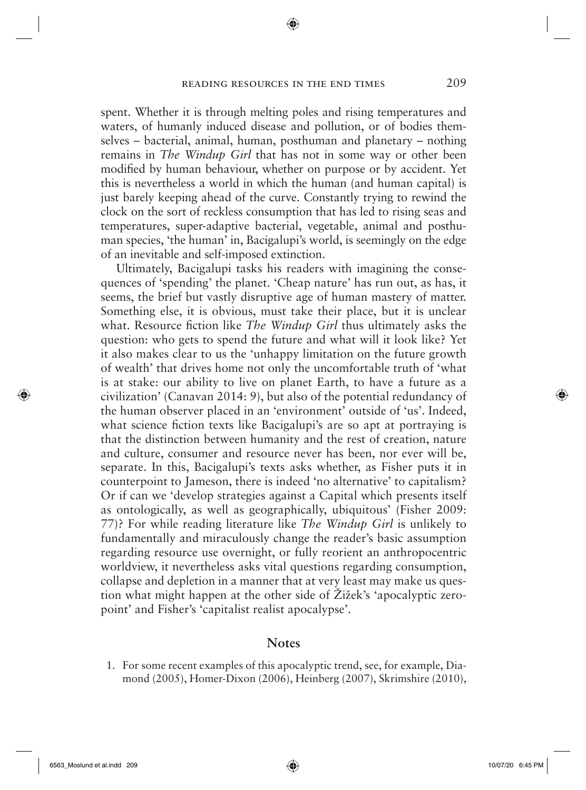spent. Whether it is through melting poles and rising temperatures and waters, of humanly induced disease and pollution, or of bodies themselves – bacterial, animal, human, posthuman and planetary – nothing remains in *The Windup Girl* that has not in some way or other been modified by human behaviour, whether on purpose or by accident. Yet this is nevertheless a world in which the human (and human capital) is just barely keeping ahead of the curve. Constantly trying to rewind the clock on the sort of reckless consumption that has led to rising seas and temperatures, super-adaptive bacterial, vegetable, animal and posthuman species, 'the human' in, Bacigalupi's world, is seemingly on the edge of an inevitable and self-imposed extinction.

Ultimately, Bacigalupi tasks his readers with imagining the consequences of 'spending' the planet. 'Cheap nature' has run out, as has, it seems, the brief but vastly disruptive age of human mastery of matter. Something else, it is obvious, must take their place, but it is unclear what. Resource fiction like *The Windup Girl* thus ultimately asks the question: who gets to spend the future and what will it look like? Yet it also makes clear to us the 'unhappy limitation on the future growth of wealth' that drives home not only the uncomfortable truth of 'what is at stake: our ability to live on planet Earth, to have a future as a civilization' (Canavan 2014: 9), but also of the potential redundancy of the human observer placed in an 'environment' outside of 'us'. Indeed, what science fiction texts like Bacigalupi's are so apt at portraying is that the distinction between humanity and the rest of creation, nature and culture, consumer and resource never has been, nor ever will be, separate. In this, Bacigalupi's texts asks whether, as Fisher puts it in counterpoint to Jameson, there is indeed 'no alternative' to capitalism? Or if can we 'develop strategies against a Capital which presents itself as ontologically, as well as geographically, ubiquitous' (Fisher 2009: 77)? For while reading literature like *The Windup Girl* is unlikely to fundamentally and miraculously change the reader's basic assumption regarding resource use overnight, or fully reorient an anthropocentric worldview, it nevertheless asks vital questions regarding consumption, collapse and depletion in a manner that at very least may make us question what might happen at the other side of Žižek's 'apocalyptic zeropoint' and Fisher's 'capitalist realist apocalypse'.

#### **Notes**

 1. For some recent examples of this apocalyptic trend, see, for example, Diamond (2005), Homer-Dixon (2006), Heinberg (2007), Skrimshire (2010),

 $\bigcirc$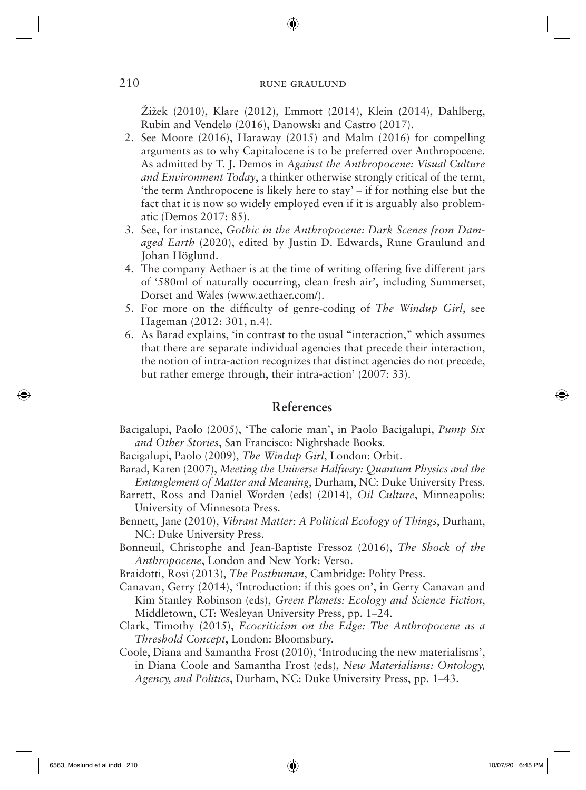◈

Žižek (2010), Klare (2012), Emmott (2014), Klein (2014), Dahlberg, Rubin and Vendelø (2016), Danowski and Castro (2017).

- 2. See Moore (2016), Haraway (2015) and Malm (2016) for compelling arguments as to why Capitalocene is to be preferred over Anthropocene. As admitted by T. J. Demos in *Against the Anthropocene: Visual Culture and Environment Today*, a thinker otherwise strongly critical of the term, 'the term Anthropocene is likely here to stay' – if for nothing else but the fact that it is now so widely employed even if it is arguably also problematic (Demos 2017: 85).
- 3. See, for instance, *Gothic in the Anthropocene: Dark Scenes from Damaged Earth* (2020), edited by Justin D. Edwards, Rune Graulund and Johan Höglund.
- 4. The company Aethaer is at the time of writing offering five different jars of '580ml of naturally occurring, clean fresh air', including Summerset, Dorset and Wales (www.aethaer.com/).
- 5. For more on the difficulty of genre-coding of *The Windup Girl*, see Hageman (2012: 301, n.4).
- 6. As Barad explains, 'in contrast to the usual "interaction," which assumes that there are separate individual agencies that precede their interaction, the notion of intra-action recognizes that distinct agencies do not precede, but rather emerge through, their intra-action' (2007: 33).

### **References**

Bacigalupi, Paolo (2005), 'The calorie man', in Paolo Bacigalupi, *Pump Six and Other Stories*, San Francisco: Nightshade Books.

Bacigalupi, Paolo (2009), *The Windup Girl*, London: Orbit.

- Barad, Karen (2007), *Meeting the Universe Halfway: Quantum Physics and the Entanglement of Matter and Meaning*, Durham, NC: Duke University Press.
- Barrett, Ross and Daniel Worden (eds) (2014), *Oil Culture*, Minneapolis: University of Minnesota Press.
- Bennett, Jane (2010), *Vibrant Matter: A Political Ecology of Things*, Durham, NC: Duke University Press.
- Bonneuil, Christophe and Jean-Baptiste Fressoz (2016), *The Shock of the Anthropocene*, London and New York: Verso.
- Braidotti, Rosi (2013), *The Posthuman*, Cambridge: Polity Press.
- Canavan, Gerry (2014), 'Introduction: if this goes on', in Gerry Canavan and Kim Stanley Robinson (eds), *Green Planets: Ecology and Science Fiction*, Middletown, CT: Wesleyan University Press, pp. 1–24.
- Clark, Timothy (2015), *Ecocriticism on the Edge: The Anthropocene as a Threshold Concept*, London: Bloomsbury.
- Coole, Diana and Samantha Frost (2010), 'Introducing the new materialisms', in Diana Coole and Samantha Frost (eds), *New Materialisms: Ontology, Agency, and Politics*, Durham, NC: Duke University Press, pp. 1–43.

↔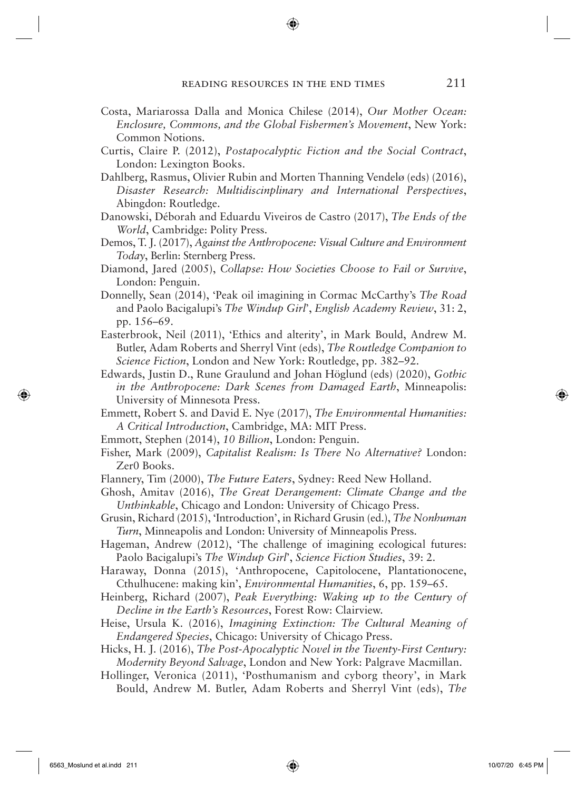- Costa, Mariarossa Dalla and Monica Chilese (2014), *Our Mother Ocean: Enclosure, Commons, and the Global Fishermen's Movement*, New York: Common Notions.
- Curtis, Claire P. (2012), *Postapocalyptic Fiction and the Social Contract*, London: Lexington Books.
- Dahlberg, Rasmus, Olivier Rubin and Morten Thanning Vendelø (eds) (2016), *Disaster Research: Multidiscinplinary and International Perspectives*, Abingdon: Routledge.
- Danowski, Déborah and Eduardu Viveiros de Castro (2017), *The Ends of the World*, Cambridge: Polity Press.
- Demos, T. J. (2017), *Against the A nthropocene: Visual Culture and Environment Today*, Berlin: Sternberg Press.
- Diamond, Jared (2005), *Collapse: How Societies Choose to Fail or Survive*, London: Penguin.
- Donnelly, Sean (2014), 'Peak oil imagining in Cormac McCarthy's *The Road*  and Paolo Bacigalupi's *The Windup Girl*', *English Academy Review*, 31: 2, pp. 156–69.
- Easterbrook, Neil (2011), 'Ethics and alterity', in Mark Bould, Andrew M. Butler, Adam Roberts and Sherryl Vint (eds), *The Routledge Companion to Science Fiction*, London and New York: Routledge, pp. 382–92.
- Edwards, Justin D., Rune Graulund and Johan Höglund (eds) (2020), *Gothic in the Anthropocene: Dark Scenes from Damaged Earth*, Minneapolis: University of Minnesota Press.
- Emmett, Robert S. and David E. Nye (2017), *The Environmental Humanities: A Critical Introduction*, Cambridge, MA: MIT Press.
- Emmott, Stephen (2014), *10 Billion*, London: Penguin.
- Fisher, Mark (2009), *Capitalist Realism: Is There No Alternative?* London: Zer0 Books.
- Flannery, Tim (2000), *The Future Eaters*, Sydney: Reed New Holland.
- Ghosh, Amitav (2016), *The Great Derangement: Climate Change and the Unthinkable*, Chicago and London: University of Chicago Press.
- Grusin, Richard (2015), 'Introduction', in Richard Grusin (ed.), *The Nonhuman Turn*, Minneapolis and London: University of Minneapolis Press.

Hageman, Andrew (2012), 'The challenge of imagining ecological futures: Paolo Bacigalupi's *The Windup Girl*', *Science Fiction Studies*, 39: 2.

Haraway, Donna (2015), 'Anthropocene, Capitolocene, Plantationocene, Cthulhucene: making kin', *Environmental Humanities*, 6, pp. 159–65.

Heinberg, Richard (2007), *Peak Everything: Waking up to the Century of Decline in the Earth's Resources*, Forest Row: Clairview.

Heise, Ursula K. (2016), *Imagining Extinction: The Cultural Meaning of Endangered Species*, Chicago: University of Chicago Press.

- Hicks, H. J. (2016), *The Post-Apocalyptic Novel in the Twenty-First Century: Modernity Beyond Salvage*, London and New York: Palgrave Macmillan.
- Hollinger, Veronica (2011), 'Posthumanism and cyborg theory', in Mark Bould, Andrew M. Butler, Adam Roberts and Sherryl Vint (eds), *The*

 $\Leftrightarrow$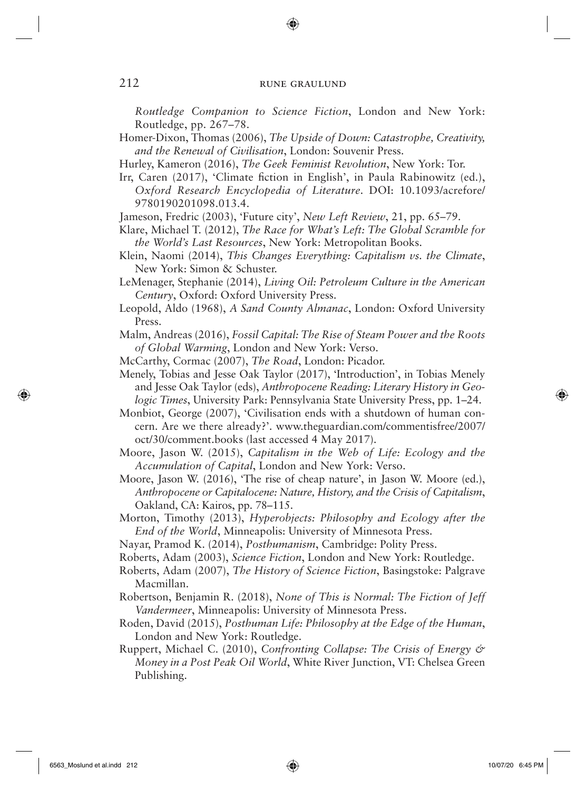◈

*Routledge Companion to Science Fiction*, London and New York: Routledge, pp. 267–78.

Homer-Dixon, Thomas (2006), *The Upside of Down: Catastrophe, Creativity, and the Renewal of Civilisation*, London: Souvenir Press.

Hurley, Kameron (2016), *The Geek Feminist Revolution*, New York: Tor.

Irr, Caren (2017), 'Climate fiction in English', in Paula Rabinowitz (ed.), *Oxford Research Encyclopedia of Literature*. DOI: 10.1093/acrefore/ 9780190201098.013.4.

Jameson, Fredric (2003), 'Future city', *New Left Review*, 21, pp. 65–79.

- Klare, Michael T. (2012), *The Race for What's Left: The Global Scramble for the World's Last Resources*, New York: Metropolitan Books.
- Klein, Naomi (2014), *This Changes Everything: Capitalism vs. the Climate*, New York: Simon & Schuster.

LeMenager, Stephanie (2014), *Living Oil: Petroleum Culture in the American Century*, Oxford: Oxford University Press.

Leopold, Aldo (1968), *A Sand County Almanac*, London: Oxford University Press.

Malm, Andreas (2016), *Fossil Capital: The Rise of Steam Power and the Roots of Global Warming*, London and New York: Verso.

- McCarthy, Cormac (2007), *The Road*, London: Picador.
- Menely, Tobias and Jesse Oak Taylor (2017), 'Introduction', in Tobias Menely and Jesse Oak Taylor (eds), *Anthropocene Reading: Literary History in Geologic Times*, University Park: Pennsylvania State University Press, pp. 1–24.
- Monbiot, George (2007), 'Civilisation ends with a shutdown of human concern. Are we there already?'. www.theguardian.com/commentisfree/2007/ oct/30/comment.books (last accessed 4 May 2017).
- Moore, Jason W. (2015), *Capitalism in the Web of Life: Ecology and the Accumulation of Capital*, London and New York: Verso.
- Moore, Jason W. (2016), 'The rise of cheap nature', in Jason W. Moore (ed.), *Anthropocene or Capitalocene: Nature, History, and the Crisis of Capitalism*, Oakland, CA: Kairos, pp. 78–115.
- Morton, Timothy (2013), *Hyperobjects: Philosophy and Ecology after the End of the World*, Minneapolis: University of Minnesota Press.
- Nayar, Pramod K. (2014), *Posthumanism*, Cambridge: Polity Press.
- Roberts, Adam (2003), *Science Fiction*, London and New York: Routledge.
- Roberts, Adam (2007), *The History of Science Fiction*, Basingstoke: Palgrave Macmillan.
- Robertson, Benjamin R. (2018), *None of This is Normal: The Fiction of Jeff Vandermeer*, Minneapolis: University of Minnesota Press.
- Roden, David (2015), *Posthuman Life: Philosophy at the Edge of the Human*, London and New York: Routledge.
- Ruppert, Michael C. (2010), *Confronting Collapse: The Crisis of Energy & Money in a Post Peak Oil World*, White River Junction, VT: Chelsea Green Publishing.

 $\bigoplus$